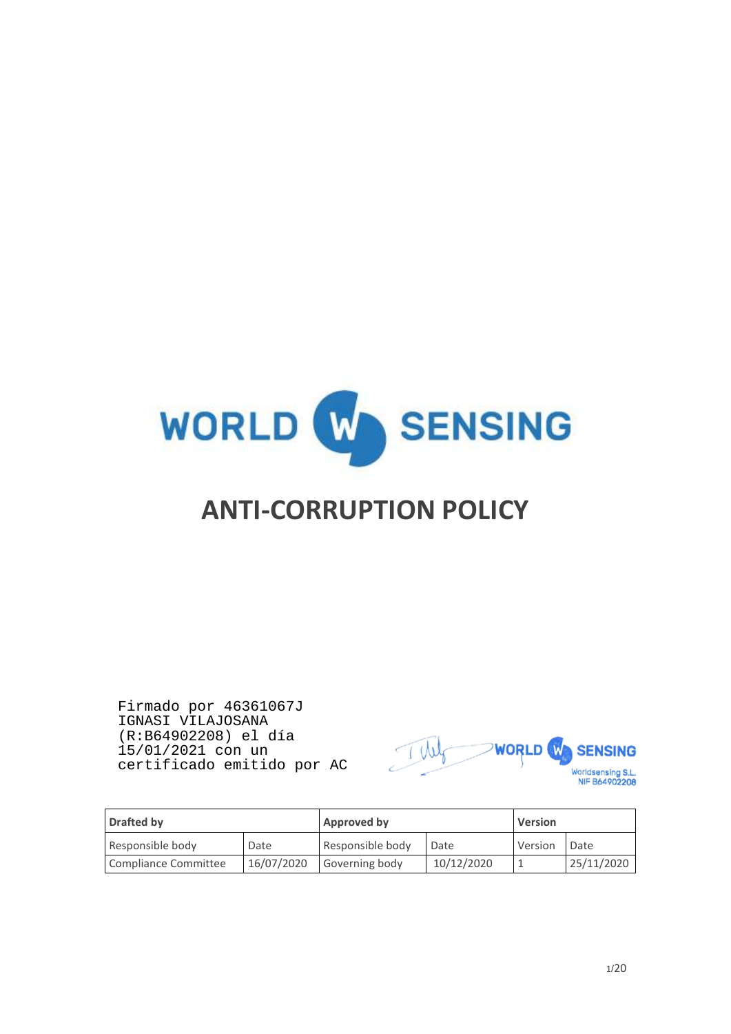

# **ANTI-CORRUPTION POLICY**

Firmado por 46361067J IGNASI VILAJOSANA (R:B64902208) el día 15/01/2021 con un certificado emitido por AC



| Drafted by           |            | Approved by      |            | <b>Version</b> |            |
|----------------------|------------|------------------|------------|----------------|------------|
| Responsible body     | Date       | Responsible body | Date       | Version        | Date       |
| Compliance Committee | 16/07/2020 | Governing body   | 10/12/2020 |                | 25/11/2020 |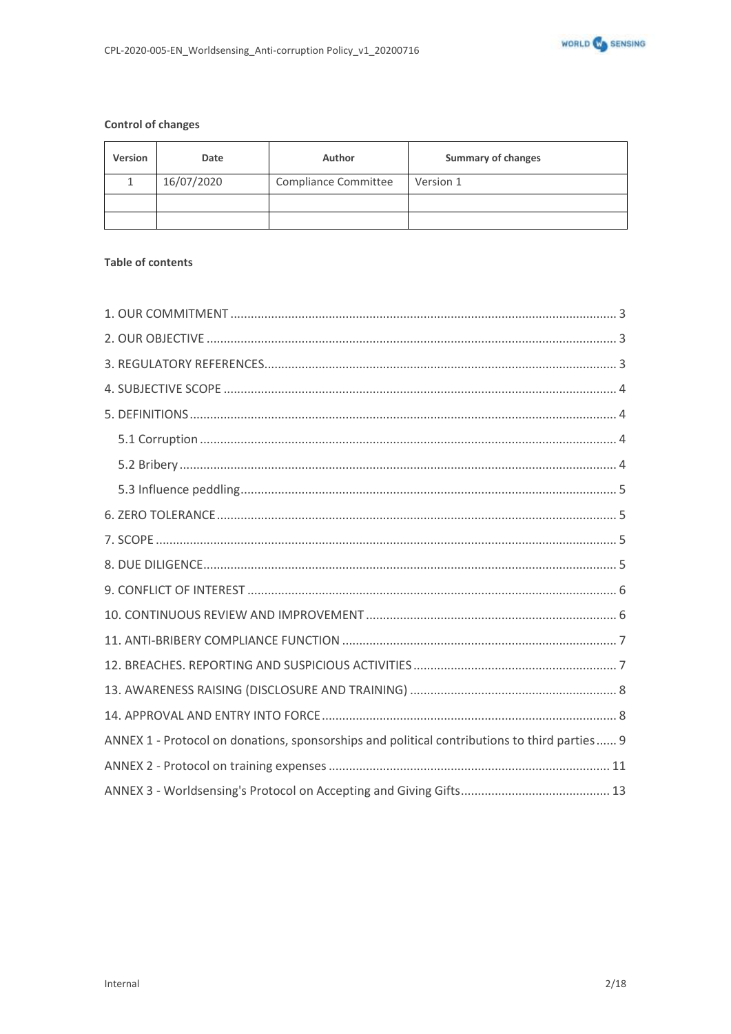

#### **Control of changes**

| <b>Version</b> | Date       | Author               | <b>Summary of changes</b> |  |
|----------------|------------|----------------------|---------------------------|--|
|                | 16/07/2020 | Compliance Committee | Version 1                 |  |
|                |            |                      |                           |  |
|                |            |                      |                           |  |

### **Table of contents**

| ANNEX 1 - Protocol on donations, sponsorships and political contributions to third parties  9 |
|-----------------------------------------------------------------------------------------------|
|                                                                                               |
|                                                                                               |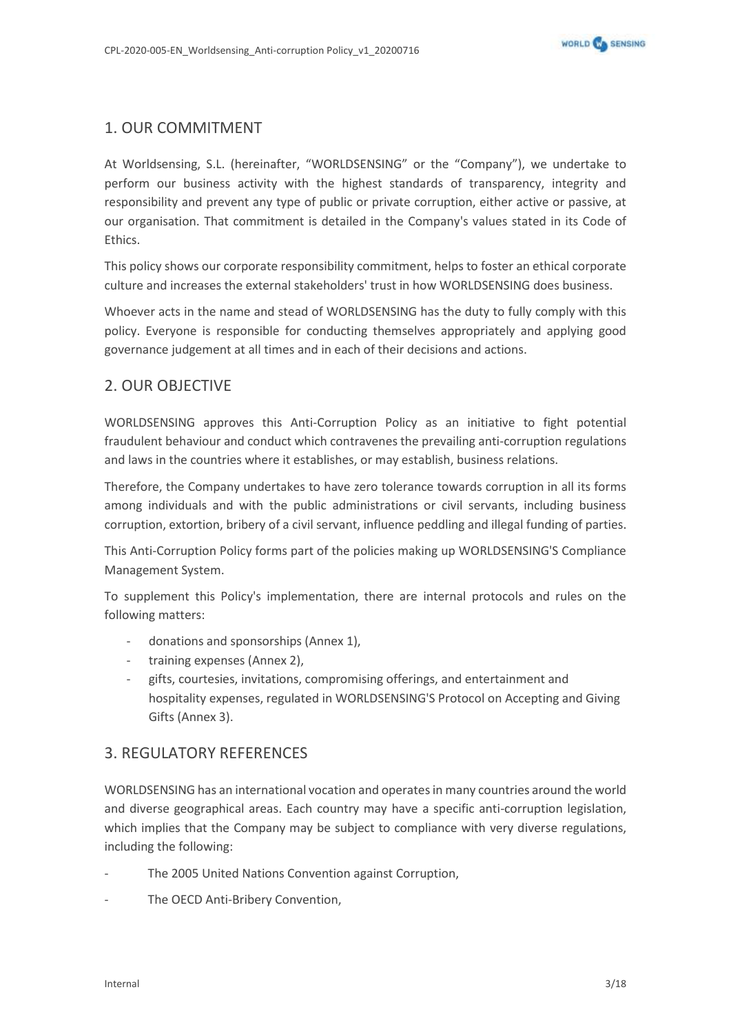# <span id="page-2-0"></span>1. OUR COMMITMENT

At Worldsensing, S.L. (hereinafter, "WORLDSENSING" or the "Company"), we undertake to perform our business activity with the highest standards of transparency, integrity and responsibility and prevent any type of public or private corruption, either active or passive, at our organisation. That commitment is detailed in the Company's values stated in its Code of Ethics.

This policy shows our corporate responsibility commitment, helps to foster an ethical corporate culture and increases the external stakeholders' trust in how WORLDSENSING does business.

Whoever acts in the name and stead of WORLDSENSING has the duty to fully comply with this policy. Everyone is responsible for conducting themselves appropriately and applying good governance judgement at all times and in each of their decisions and actions.

# <span id="page-2-1"></span>2. OUR OBJECTIVE

WORLDSENSING approves this Anti-Corruption Policy as an initiative to fight potential fraudulent behaviour and conduct which contravenes the prevailing anti-corruption regulations and laws in the countries where it establishes, or may establish, business relations.

Therefore, the Company undertakes to have zero tolerance towards corruption in all its forms among individuals and with the public administrations or civil servants, including business corruption, extortion, bribery of a civil servant, influence peddling and illegal funding of parties.

This Anti-Corruption Policy forms part of the policies making up WORLDSENSING'S Compliance Management System.

To supplement this Policy's implementation, there are internal protocols and rules on the following matters:

- donations and sponsorships (Annex 1).
- training expenses (Annex 2),
- gifts, courtesies, invitations, compromising offerings, and entertainment and hospitality expenses, regulated in WORLDSENSING'S Protocol on Accepting and Giving Gifts (Annex 3).

# <span id="page-2-2"></span>3. REGULATORY REFERENCES

WORLDSENSING has an international vocation and operates in many countries around the world and diverse geographical areas. Each country may have a specific anti-corruption legislation, which implies that the Company may be subject to compliance with very diverse regulations, including the following:

- The 2005 United Nations Convention against Corruption,
- The OECD Anti-Bribery Convention,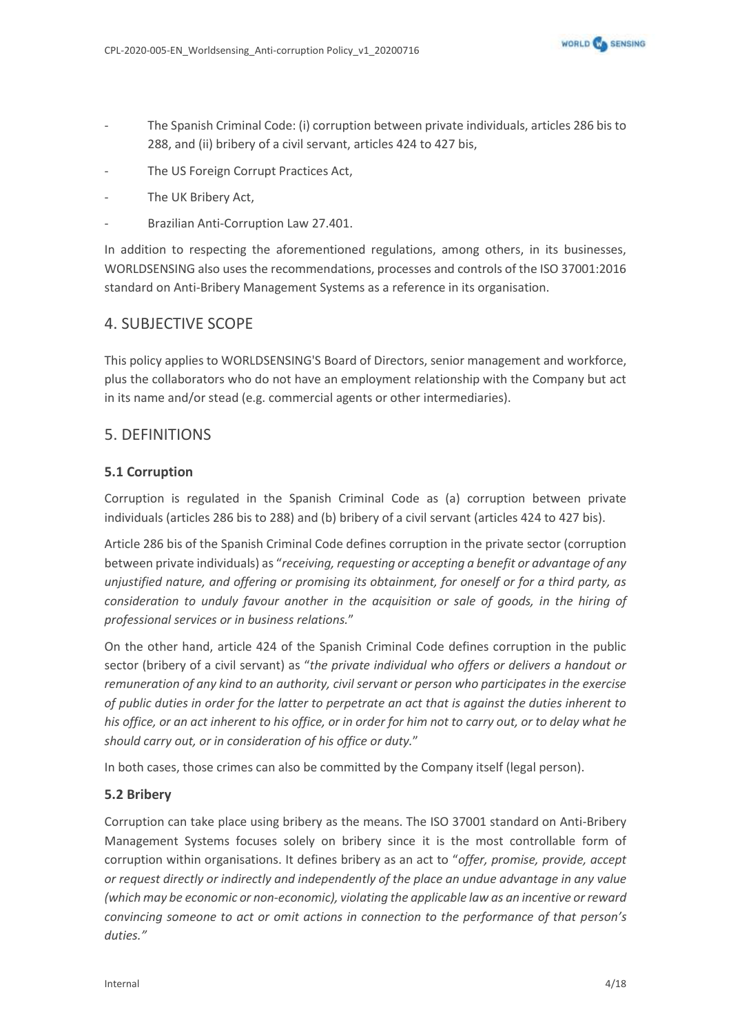- The Spanish Criminal Code: (i) corruption between private individuals, articles 286 bis to 288, and (ii) bribery of a civil servant, articles 424 to 427 bis,
- The US Foreign Corrupt Practices Act,
- The UK Bribery Act,
- Brazilian Anti-Corruption Law 27.401.

In addition to respecting the aforementioned regulations, among others, in its businesses, WORLDSENSING also uses the recommendations, processes and controls of the ISO 37001:2016 standard on Anti-Bribery Management Systems as a reference in its organisation.

# <span id="page-3-0"></span>4. SUBJECTIVE SCOPE

This policy applies to WORLDSENSING'S Board of Directors, senior management and workforce, plus the collaborators who do not have an employment relationship with the Company but act in its name and/or stead (e.g. commercial agents or other intermediaries).

# <span id="page-3-1"></span>5. DEFINITIONS

### <span id="page-3-2"></span>**5.1 Corruption**

Corruption is regulated in the Spanish Criminal Code as (a) corruption between private individuals (articles 286 bis to 288) and (b) bribery of a civil servant (articles 424 to 427 bis).

Article 286 bis of the Spanish Criminal Code defines corruption in the private sector (corruption between private individuals) as "*receiving, requesting or accepting a benefit or advantage of any unjustified nature, and offering or promising its obtainment, for oneself or for a third party, as consideration to unduly favour another in the acquisition or sale of goods, in the hiring of professional services or in business relations.*"

On the other hand, article 424 of the Spanish Criminal Code defines corruption in the public sector (bribery of a civil servant) as "*the private individual who offers or delivers a handout or remuneration of any kind to an authority, civil servant or person who participates in the exercise of public duties in order for the latter to perpetrate an act that is against the duties inherent to his office, or an act inherent to his office, or in order for him not to carry out, or to delay what he should carry out, or in consideration of his office or duty.*"

In both cases, those crimes can also be committed by the Company itself (legal person).

### <span id="page-3-3"></span>**5.2 Bribery**

Corruption can take place using bribery as the means. The ISO 37001 standard on Anti-Bribery Management Systems focuses solely on bribery since it is the most controllable form of corruption within organisations. It defines bribery as an act to "*offer, promise, provide, accept or request directly or indirectly and independently of the place an undue advantage in any value (which may be economic or non-economic), violating the applicable law as an incentive or reward convincing someone to act or omit actions in connection to the performance of that person's duties."*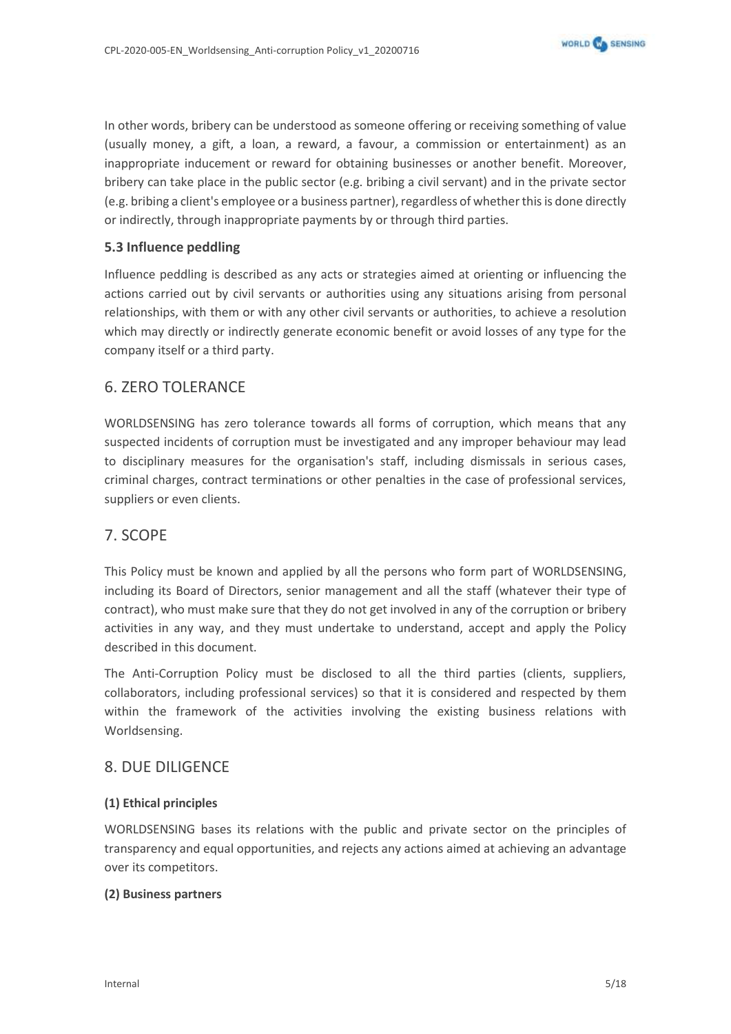In other words, bribery can be understood as someone offering or receiving something of value (usually money, a gift, a loan, a reward, a favour, a commission or entertainment) as an inappropriate inducement or reward for obtaining businesses or another benefit. Moreover, bribery can take place in the public sector (e.g. bribing a civil servant) and in the private sector (e.g. bribing a client's employee or a business partner), regardless of whether this is done directly or indirectly, through inappropriate payments by or through third parties.

### <span id="page-4-0"></span>**5.3 Influence peddling**

Influence peddling is described as any acts or strategies aimed at orienting or influencing the actions carried out by civil servants or authorities using any situations arising from personal relationships, with them or with any other civil servants or authorities, to achieve a resolution which may directly or indirectly generate economic benefit or avoid losses of any type for the company itself or a third party.

### <span id="page-4-1"></span>6. ZERO TOLERANCE

WORLDSENSING has zero tolerance towards all forms of corruption, which means that any suspected incidents of corruption must be investigated and any improper behaviour may lead to disciplinary measures for the organisation's staff, including dismissals in serious cases, criminal charges, contract terminations or other penalties in the case of professional services, suppliers or even clients.

### <span id="page-4-2"></span>7. SCOPE

This Policy must be known and applied by all the persons who form part of WORLDSENSING, including its Board of Directors, senior management and all the staff (whatever their type of contract), who must make sure that they do not get involved in any of the corruption or bribery activities in any way, and they must undertake to understand, accept and apply the Policy described in this document.

The Anti-Corruption Policy must be disclosed to all the third parties (clients, suppliers, collaborators, including professional services) so that it is considered and respected by them within the framework of the activities involving the existing business relations with Worldsensing.

### <span id="page-4-3"></span>8. DUE DILIGENCE

### **(1) Ethical principles**

WORLDSENSING bases its relations with the public and private sector on the principles of transparency and equal opportunities, and rejects any actions aimed at achieving an advantage over its competitors.

### **(2) Business partners**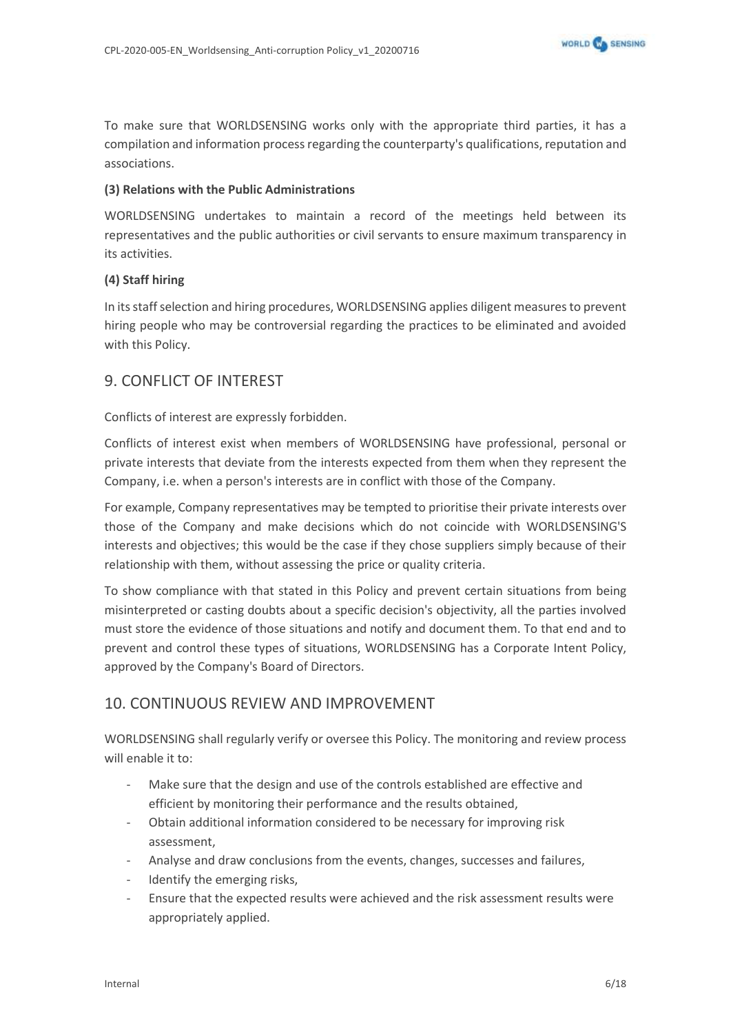To make sure that WORLDSENSING works only with the appropriate third parties, it has a compilation and information process regarding the counterparty's qualifications, reputation and associations.

### **(3) Relations with the Public Administrations**

WORLDSENSING undertakes to maintain a record of the meetings held between its representatives and the public authorities or civil servants to ensure maximum transparency in its activities.

### **(4) Staff hiring**

In its staff selection and hiring procedures, WORLDSENSING applies diligent measures to prevent hiring people who may be controversial regarding the practices to be eliminated and avoided with this Policy.

# <span id="page-5-0"></span>9. CONFLICT OF INTEREST

Conflicts of interest are expressly forbidden.

Conflicts of interest exist when members of WORLDSENSING have professional, personal or private interests that deviate from the interests expected from them when they represent the Company, i.e. when a person's interests are in conflict with those of the Company.

For example, Company representatives may be tempted to prioritise their private interests over those of the Company and make decisions which do not coincide with WORLDSENSING'S interests and objectives; this would be the case if they chose suppliers simply because of their relationship with them, without assessing the price or quality criteria.

To show compliance with that stated in this Policy and prevent certain situations from being misinterpreted or casting doubts about a specific decision's objectivity, all the parties involved must store the evidence of those situations and notify and document them. To that end and to prevent and control these types of situations, WORLDSENSING has a Corporate Intent Policy, approved by the Company's Board of Directors.

# <span id="page-5-1"></span>10. CONTINUOUS REVIEW AND IMPROVEMENT

WORLDSENSING shall regularly verify or oversee this Policy. The monitoring and review process will enable it to:

- Make sure that the design and use of the controls established are effective and efficient by monitoring their performance and the results obtained,
- Obtain additional information considered to be necessary for improving risk assessment,
- Analyse and draw conclusions from the events, changes, successes and failures,
- Identify the emerging risks,
- Ensure that the expected results were achieved and the risk assessment results were appropriately applied.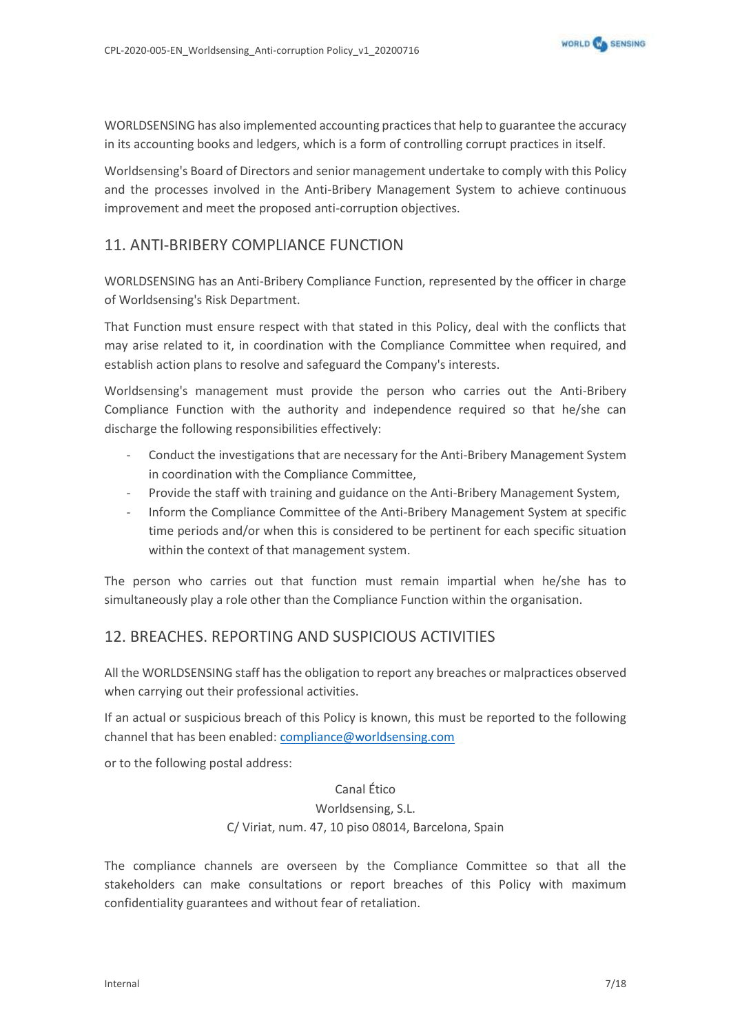WORLDSENSING has also implemented accounting practices that help to guarantee the accuracy in its accounting books and ledgers, which is a form of controlling corrupt practices in itself.

Worldsensing's Board of Directors and senior management undertake to comply with this Policy and the processes involved in the Anti-Bribery Management System to achieve continuous improvement and meet the proposed anti-corruption objectives.

# <span id="page-6-0"></span>11. ANTI-BRIBERY COMPLIANCE FUNCTION

WORLDSENSING has an Anti-Bribery Compliance Function, represented by the officer in charge of Worldsensing's Risk Department.

That Function must ensure respect with that stated in this Policy, deal with the conflicts that may arise related to it, in coordination with the Compliance Committee when required, and establish action plans to resolve and safeguard the Company's interests.

Worldsensing's management must provide the person who carries out the Anti-Bribery Compliance Function with the authority and independence required so that he/she can discharge the following responsibilities effectively:

- Conduct the investigations that are necessary for the Anti-Bribery Management System in coordination with the Compliance Committee,
- Provide the staff with training and guidance on the Anti-Bribery Management System,
- Inform the Compliance Committee of the Anti-Bribery Management System at specific time periods and/or when this is considered to be pertinent for each specific situation within the context of that management system.

The person who carries out that function must remain impartial when he/she has to simultaneously play a role other than the Compliance Function within the organisation.

# <span id="page-6-1"></span>12. BREACHES. REPORTING AND SUSPICIOUS ACTIVITIES

All the WORLDSENSING staff has the obligation to report any breaches or malpractices observed when carrying out their professional activities.

If an actual or suspicious breach of this Policy is known, this must be reported to the following channel that has been enabled: [compliance@worldsensing.com](mailto:compliance@worldsensing.com)

or to the following postal address:

Canal Ético Worldsensing, S.L. C/ Viriat, num. 47, 10 piso 08014, Barcelona, Spain

The compliance channels are overseen by the Compliance Committee so that all the stakeholders can make consultations or report breaches of this Policy with maximum confidentiality guarantees and without fear of retaliation.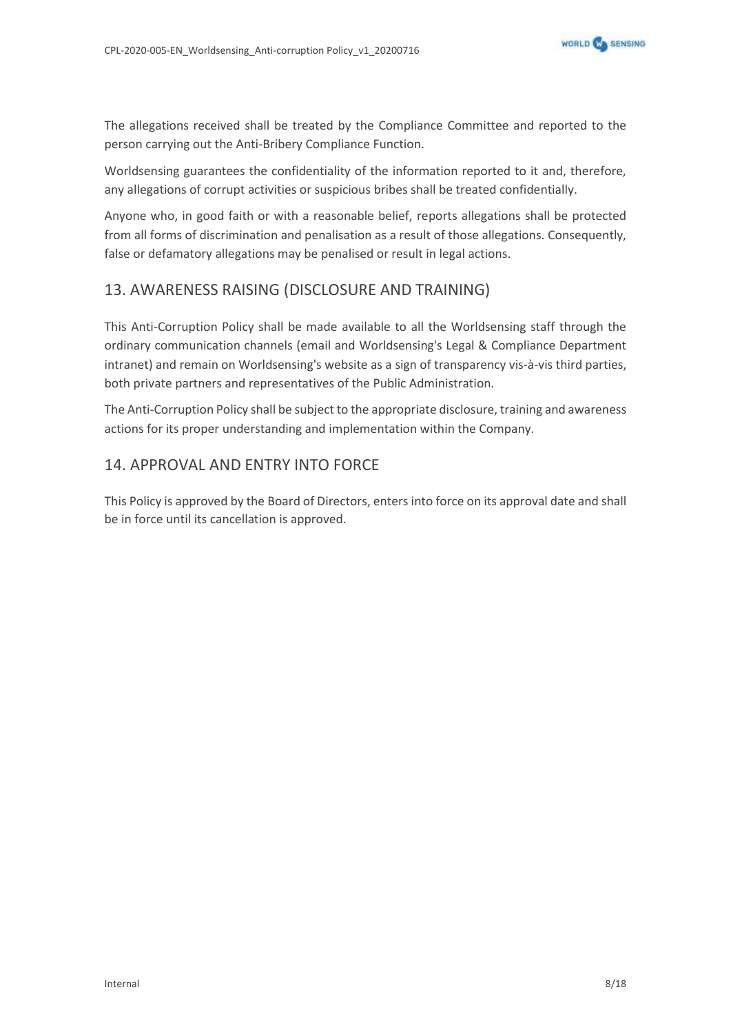

The allegations received shall be treated by the Compliance Committee and reported to the person carrying out the Anti-Bribery Compliance Function.

Worldsensing guarantees the confidentiality of the information reported to it and, therefore, any allegations of corrupt activities or suspicious bribes shall be treated confidentially.

Anyone who, in good faith or with a reasonable belief, reports allegations shall be protected from all forms of discrimination and penalisation as a result of those allegations. Consequently, false or defamatory allegations may be penalised or result in legal actions.

# <span id="page-7-0"></span>13. AWARENESS RAISING (DISCLOSURE AND TRAINING)

This Anti-Corruption Policy shall be made available to all the Worldsensing staff through the ordinary communication channels (email and Worldsensing's Legal & Compliance Department intranet) and remain on Worldsensing's website as a sign of transparency vis-à-vis third parties, both private partners and representatives of the Public Administration.

The Anti-Corruption Policy shall be subject to the appropriate disclosure, training and awareness actions for its proper understanding and implementation within the Company.

# <span id="page-7-1"></span>14. APPROVAL AND ENTRY INTO FORCE

This Policy is approved by the Board of Directors, enters into force on its approval date and shall be in force until its cancellation is approved.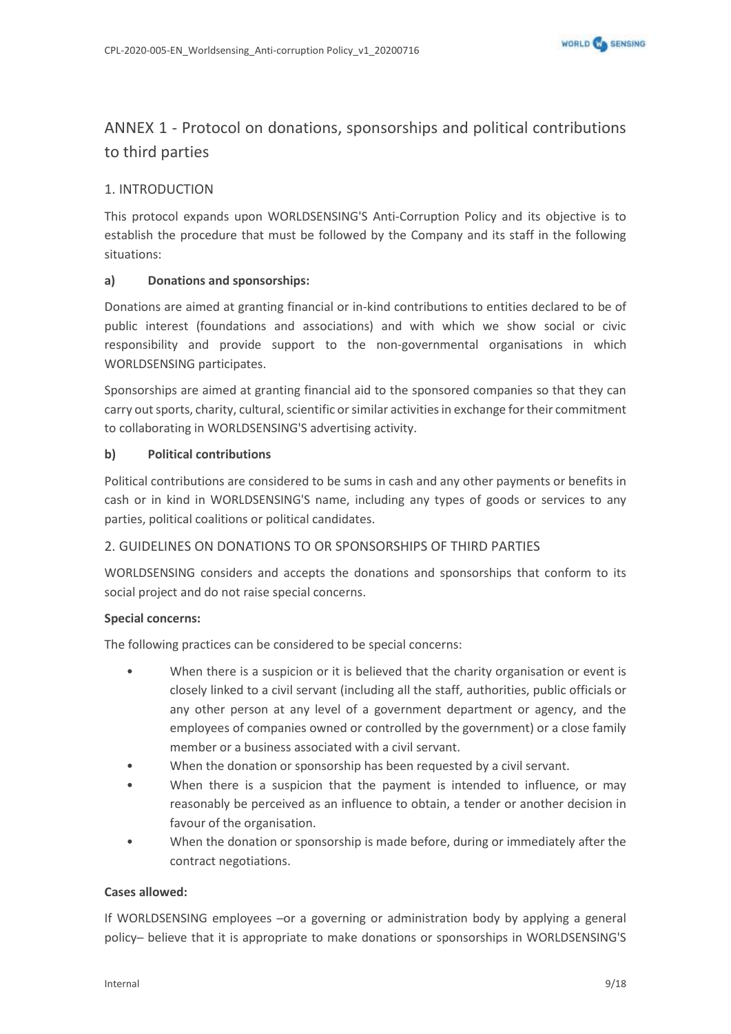# <span id="page-8-0"></span>ANNEX 1 - Protocol on donations, sponsorships and political contributions to third parties

### 1. INTRODUCTION

This protocol expands upon WORLDSENSING'S Anti-Corruption Policy and its objective is to establish the procedure that must be followed by the Company and its staff in the following situations:

### **a) Donations and sponsorships:**

Donations are aimed at granting financial or in-kind contributions to entities declared to be of public interest (foundations and associations) and with which we show social or civic responsibility and provide support to the non-governmental organisations in which WORLDSENSING participates.

Sponsorships are aimed at granting financial aid to the sponsored companies so that they can carry out sports, charity, cultural, scientific or similar activities in exchange for their commitment to collaborating in WORLDSENSING'S advertising activity.

### **b) Political contributions**

Political contributions are considered to be sums in cash and any other payments or benefits in cash or in kind in WORLDSENSING'S name, including any types of goods or services to any parties, political coalitions or political candidates.

### 2. GUIDELINES ON DONATIONS TO OR SPONSORSHIPS OF THIRD PARTIES

WORLDSENSING considers and accepts the donations and sponsorships that conform to its social project and do not raise special concerns.

### **Special concerns:**

The following practices can be considered to be special concerns:

- When there is a suspicion or it is believed that the charity organisation or event is closely linked to a civil servant (including all the staff, authorities, public officials or any other person at any level of a government department or agency, and the employees of companies owned or controlled by the government) or a close family member or a business associated with a civil servant.
- When the donation or sponsorship has been requested by a civil servant.
- When there is a suspicion that the payment is intended to influence, or may reasonably be perceived as an influence to obtain, a tender or another decision in favour of the organisation.
- When the donation or sponsorship is made before, during or immediately after the contract negotiations.

### **Cases allowed:**

If WORLDSENSING employees -or a governing or administration body by applying a general policy─ believe that it is appropriate to make donations or sponsorships in WORLDSENSING'S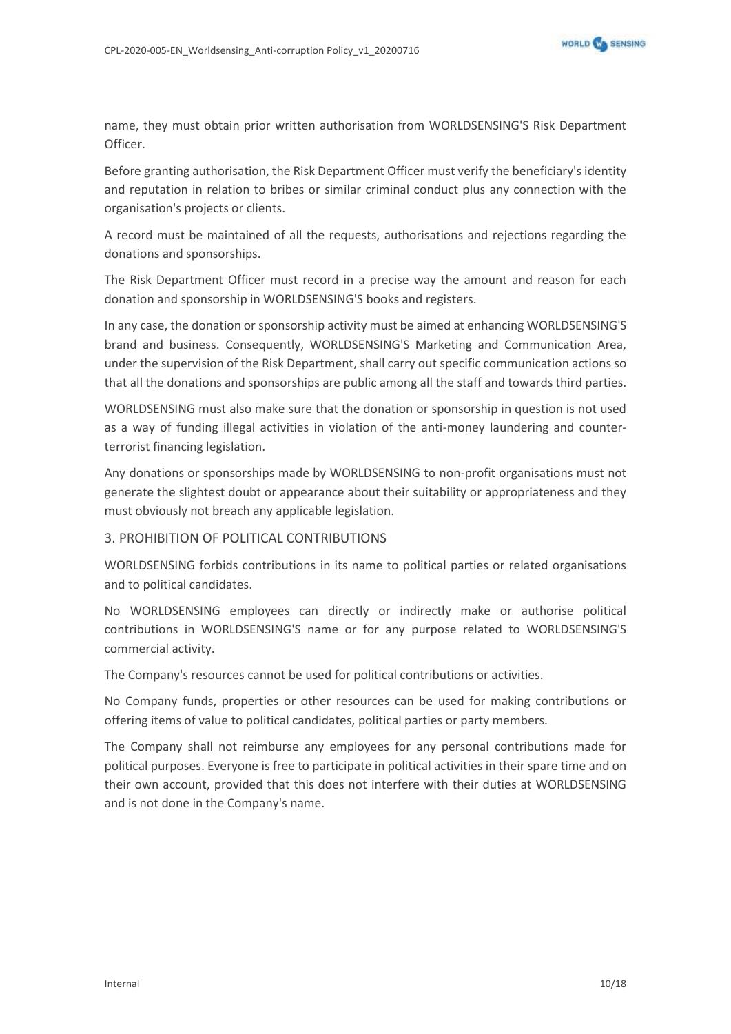

name, they must obtain prior written authorisation from WORLDSENSING'S Risk Department Officer.

Before granting authorisation, the Risk Department Officer must verify the beneficiary's identity and reputation in relation to bribes or similar criminal conduct plus any connection with the organisation's projects or clients.

A record must be maintained of all the requests, authorisations and rejections regarding the donations and sponsorships.

The Risk Department Officer must record in a precise way the amount and reason for each donation and sponsorship in WORLDSENSING'S books and registers.

In any case, the donation or sponsorship activity must be aimed at enhancing WORLDSENSING'S brand and business. Consequently, WORLDSENSING'S Marketing and Communication Area, under the supervision of the Risk Department, shall carry out specific communication actions so that all the donations and sponsorships are public among all the staff and towards third parties.

WORLDSENSING must also make sure that the donation or sponsorship in question is not used as a way of funding illegal activities in violation of the anti-money laundering and counterterrorist financing legislation.

Any donations or sponsorships made by WORLDSENSING to non-profit organisations must not generate the slightest doubt or appearance about their suitability or appropriateness and they must obviously not breach any applicable legislation.

### 3. PROHIBITION OF POLITICAL CONTRIBUTIONS

WORLDSENSING forbids contributions in its name to political parties or related organisations and to political candidates.

No WORLDSENSING employees can directly or indirectly make or authorise political contributions in WORLDSENSING'S name or for any purpose related to WORLDSENSING'S commercial activity.

The Company's resources cannot be used for political contributions or activities.

No Company funds, properties or other resources can be used for making contributions or offering items of value to political candidates, political parties or party members.

The Company shall not reimburse any employees for any personal contributions made for political purposes. Everyone is free to participate in political activities in their spare time and on their own account, provided that this does not interfere with their duties at WORLDSENSING and is not done in the Company's name.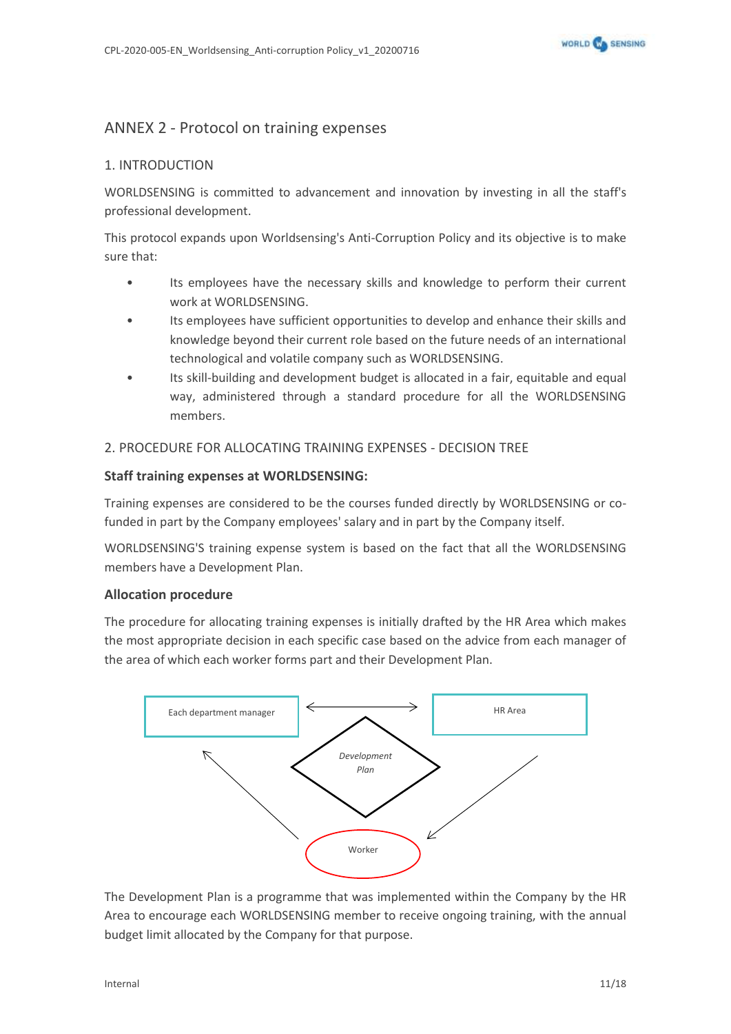

# <span id="page-10-0"></span>ANNEX 2 - Protocol on training expenses

### 1. INTRODUCTION

WORLDSENSING is committed to advancement and innovation by investing in all the staff's professional development.

This protocol expands upon Worldsensing's Anti-Corruption Policy and its objective is to make sure that:

- Its employees have the necessary skills and knowledge to perform their current work at WORLDSENSING.
- Its employees have sufficient opportunities to develop and enhance their skills and knowledge beyond their current role based on the future needs of an international technological and volatile company such as WORLDSENSING.
- Its skill-building and development budget is allocated in a fair, equitable and equal way, administered through a standard procedure for all the WORLDSENSING members.

### 2. PROCEDURE FOR ALLOCATING TRAINING EXPENSES - DECISION TREE

### **Staff training expenses at WORLDSENSING:**

Training expenses are considered to be the courses funded directly by WORLDSENSING or cofunded in part by the Company employees' salary and in part by the Company itself.

WORLDSENSING'S training expense system is based on the fact that all the WORLDSENSING members have a Development Plan.

### **Allocation procedure**

The procedure for allocating training expenses is initially drafted by the HR Area which makes the most appropriate decision in each specific case based on the advice from each manager of the area of which each worker forms part and their Development Plan.



The Development Plan is a programme that was implemented within the Company by the HR Area to encourage each WORLDSENSING member to receive ongoing training, with the annual budget limit allocated by the Company for that purpose.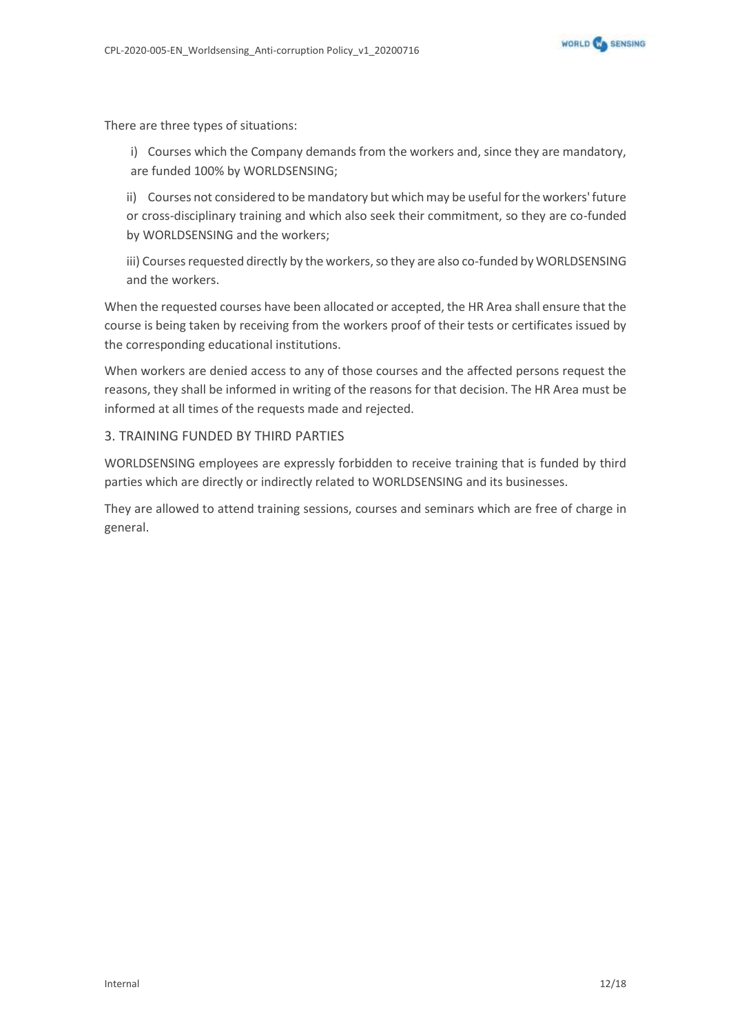

There are three types of situations:

i) Courses which the Company demands from the workers and, since they are mandatory, are funded 100% by WORLDSENSING;

ii) Courses not considered to be mandatory but which may be useful for the workers' future or cross-disciplinary training and which also seek their commitment, so they are co-funded by WORLDSENSING and the workers;

iii) Courses requested directly by the workers, so they are also co-funded by WORLDSENSING and the workers.

When the requested courses have been allocated or accepted, the HR Area shall ensure that the course is being taken by receiving from the workers proof of their tests or certificates issued by the corresponding educational institutions.

When workers are denied access to any of those courses and the affected persons request the reasons, they shall be informed in writing of the reasons for that decision. The HR Area must be informed at all times of the requests made and rejected.

### 3. TRAINING FUNDED BY THIRD PARTIES

WORLDSENSING employees are expressly forbidden to receive training that is funded by third parties which are directly or indirectly related to WORLDSENSING and its businesses.

They are allowed to attend training sessions, courses and seminars which are free of charge in general.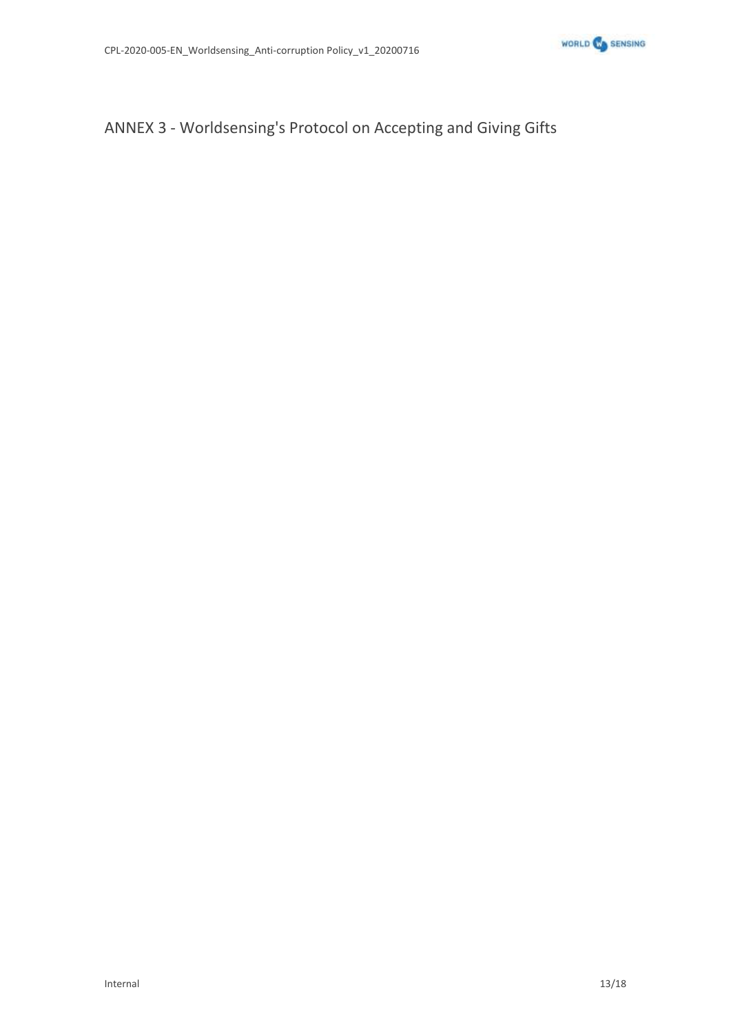

# <span id="page-12-0"></span>ANNEX 3 - Worldsensing's Protocol on Accepting and Giving Gifts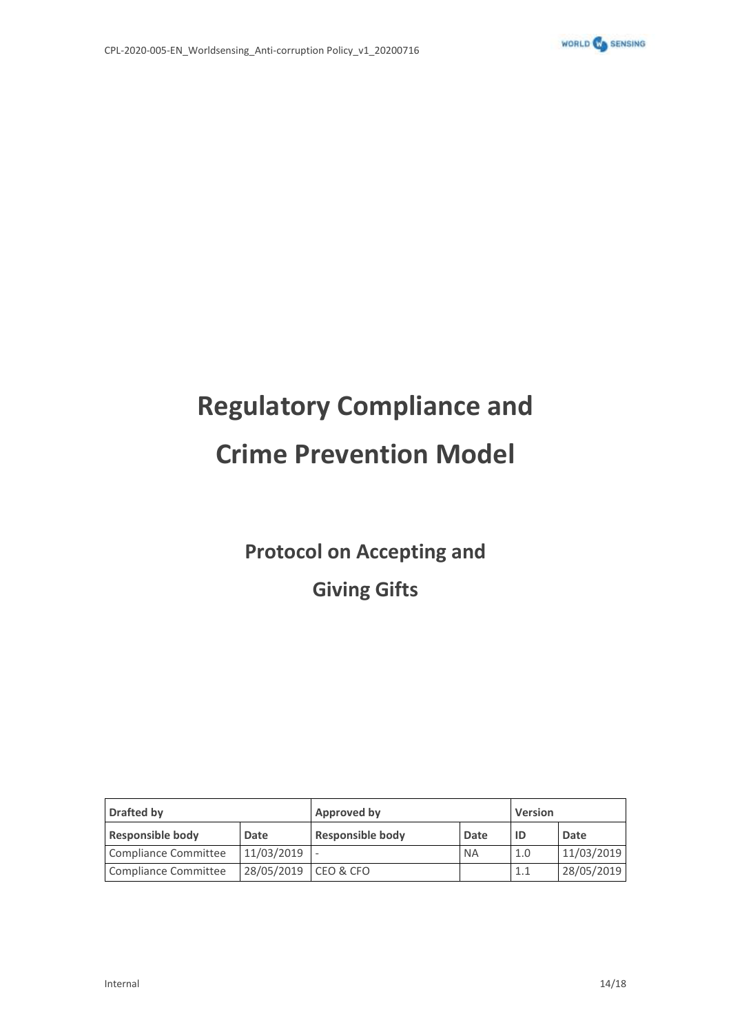

# **Regulatory Compliance and Crime Prevention Model**

**Protocol on Accepting and**

**Giving Gifts**

| <b>Drafted by</b>       |            | Approved by             |           | <b>Version</b> |            |
|-------------------------|------------|-------------------------|-----------|----------------|------------|
| <b>Responsible body</b> | Date       | <b>Responsible body</b> | Date      | ID             | Date       |
| Compliance Committee    | 11/03/2019 |                         | <b>NA</b> | 1.0            | 11/03/2019 |
| Compliance Committee    | 28/05/2019 | <b>CEO &amp; CFO</b>    |           | 1.1            | 28/05/2019 |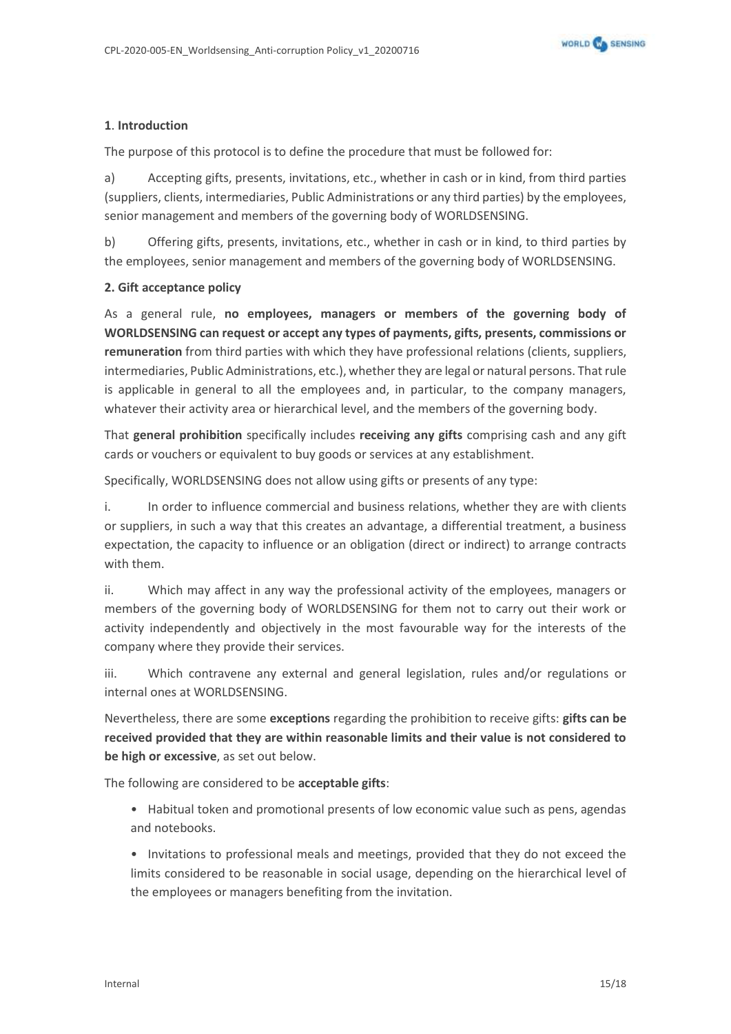

### **1**. **Introduction**

The purpose of this protocol is to define the procedure that must be followed for:

a) Accepting gifts, presents, invitations, etc., whether in cash or in kind, from third parties (suppliers, clients, intermediaries, Public Administrations or any third parties) by the employees, senior management and members of the governing body of WORLDSENSING.

b) Offering gifts, presents, invitations, etc., whether in cash or in kind, to third parties by the employees, senior management and members of the governing body of WORLDSENSING.

### **2. Gift acceptance policy**

As a general rule, **no employees, managers or members of the governing body of WORLDSENSING can request or accept any types of payments, gifts, presents, commissions or remuneration** from third parties with which they have professional relations (clients, suppliers, intermediaries, Public Administrations, etc.), whether they are legal or natural persons. That rule is applicable in general to all the employees and, in particular, to the company managers, whatever their activity area or hierarchical level, and the members of the governing body.

That **general prohibition** specifically includes **receiving any gifts** comprising cash and any gift cards or vouchers or equivalent to buy goods or services at any establishment.

Specifically, WORLDSENSING does not allow using gifts or presents of any type:

i. In order to influence commercial and business relations, whether they are with clients or suppliers, in such a way that this creates an advantage, a differential treatment, a business expectation, the capacity to influence or an obligation (direct or indirect) to arrange contracts with them.

ii. Which may affect in any way the professional activity of the employees, managers or members of the governing body of WORLDSENSING for them not to carry out their work or activity independently and objectively in the most favourable way for the interests of the company where they provide their services.

iii. Which contravene any external and general legislation, rules and/or regulations or internal ones at WORLDSENSING.

Nevertheless, there are some **exceptions** regarding the prohibition to receive gifts: **gifts can be received provided that they are within reasonable limits and their value is not considered to be high or excessive**, as set out below.

The following are considered to be **acceptable gifts**:

- Habitual token and promotional presents of low economic value such as pens, agendas and notebooks.
- Invitations to professional meals and meetings, provided that they do not exceed the limits considered to be reasonable in social usage, depending on the hierarchical level of the employees or managers benefiting from the invitation.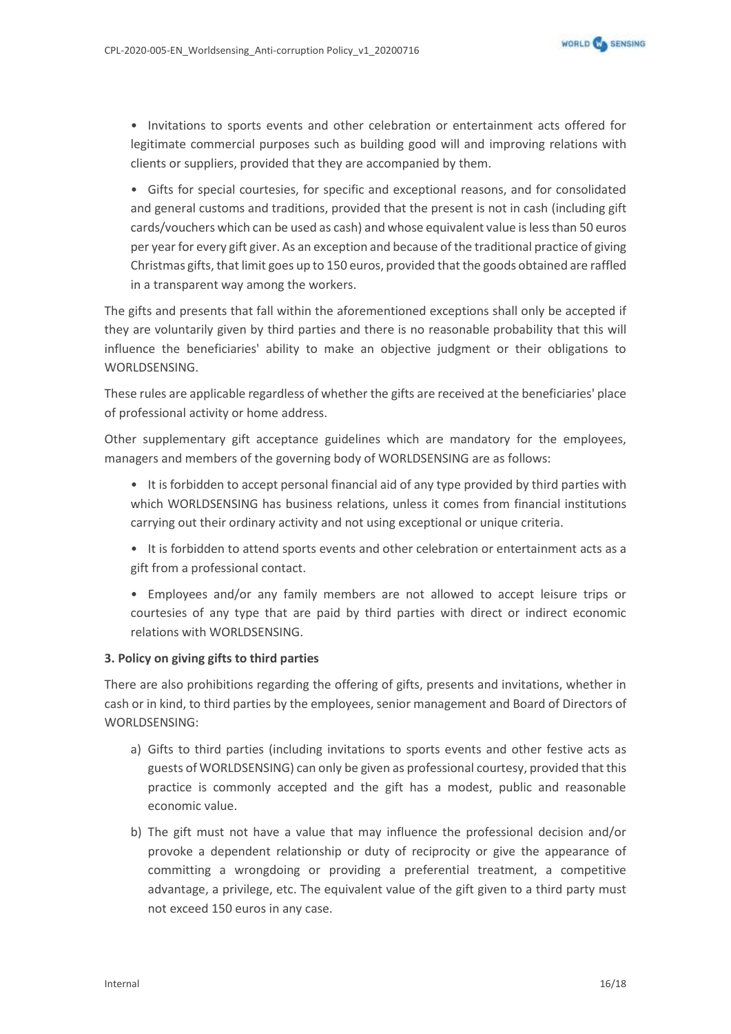• Invitations to sports events and other celebration or entertainment acts offered for legitimate commercial purposes such as building good will and improving relations with clients or suppliers, provided that they are accompanied by them.

• Gifts for special courtesies, for specific and exceptional reasons, and for consolidated and general customs and traditions, provided that the present is not in cash (including gift cards/vouchers which can be used as cash) and whose equivalent value is less than 50 euros per year for every gift giver. As an exception and because of the traditional practice of giving Christmas gifts, that limit goes up to 150 euros, provided that the goods obtained are raffled in a transparent way among the workers.

The gifts and presents that fall within the aforementioned exceptions shall only be accepted if they are voluntarily given by third parties and there is no reasonable probability that this will influence the beneficiaries' ability to make an objective judgment or their obligations to WORLDSENSING.

These rules are applicable regardless of whether the gifts are received at the beneficiaries' place of professional activity or home address.

Other supplementary gift acceptance guidelines which are mandatory for the employees, managers and members of the governing body of WORLDSENSING are as follows:

- It is forbidden to accept personal financial aid of any type provided by third parties with which WORLDSENSING has business relations, unless it comes from financial institutions carrying out their ordinary activity and not using exceptional or unique criteria.
- It is forbidden to attend sports events and other celebration or entertainment acts as a gift from a professional contact.
- Employees and/or any family members are not allowed to accept leisure trips or courtesies of any type that are paid by third parties with direct or indirect economic relations with WORLDSENSING.

### **3. Policy on giving gifts to third parties**

There are also prohibitions regarding the offering of gifts, presents and invitations, whether in cash or in kind, to third parties by the employees, senior management and Board of Directors of WORLDSENSING:

- a) Gifts to third parties (including invitations to sports events and other festive acts as guests of WORLDSENSING) can only be given as professional courtesy, provided that this practice is commonly accepted and the gift has a modest, public and reasonable economic value.
- b) The gift must not have a value that may influence the professional decision and/or provoke a dependent relationship or duty of reciprocity or give the appearance of committing a wrongdoing or providing a preferential treatment, a competitive advantage, a privilege, etc. The equivalent value of the gift given to a third party must not exceed 150 euros in any case.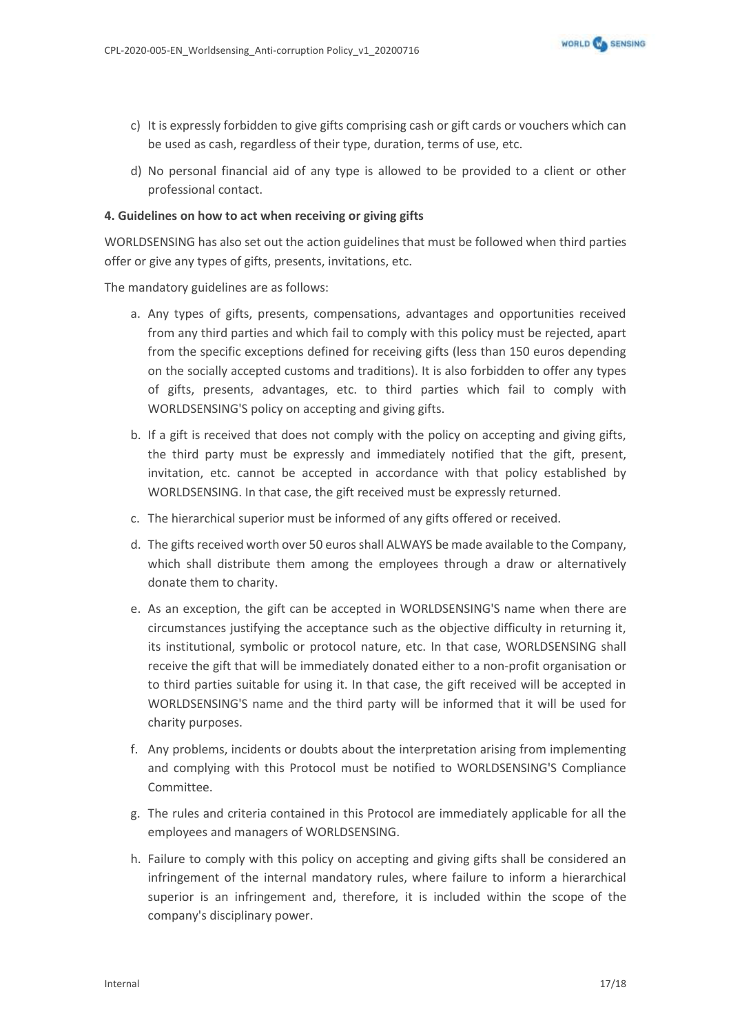- c) It is expressly forbidden to give gifts comprising cash or gift cards or vouchers which can be used as cash, regardless of their type, duration, terms of use, etc.
- d) No personal financial aid of any type is allowed to be provided to a client or other professional contact.

### **4. Guidelines on how to act when receiving or giving gifts**

WORLDSENSING has also set out the action guidelines that must be followed when third parties offer or give any types of gifts, presents, invitations, etc.

The mandatory guidelines are as follows:

- a. Any types of gifts, presents, compensations, advantages and opportunities received from any third parties and which fail to comply with this policy must be rejected, apart from the specific exceptions defined for receiving gifts (less than 150 euros depending on the socially accepted customs and traditions). It is also forbidden to offer any types of gifts, presents, advantages, etc. to third parties which fail to comply with WORLDSENSING'S policy on accepting and giving gifts.
- b. If a gift is received that does not comply with the policy on accepting and giving gifts, the third party must be expressly and immediately notified that the gift, present, invitation, etc. cannot be accepted in accordance with that policy established by WORLDSENSING. In that case, the gift received must be expressly returned.
- c. The hierarchical superior must be informed of any gifts offered or received.
- d. The gifts received worth over 50 euros shall ALWAYS be made available to the Company, which shall distribute them among the employees through a draw or alternatively donate them to charity.
- e. As an exception, the gift can be accepted in WORLDSENSING'S name when there are circumstances justifying the acceptance such as the objective difficulty in returning it, its institutional, symbolic or protocol nature, etc. In that case, WORLDSENSING shall receive the gift that will be immediately donated either to a non-profit organisation or to third parties suitable for using it. In that case, the gift received will be accepted in WORLDSENSING'S name and the third party will be informed that it will be used for charity purposes.
- f. Any problems, incidents or doubts about the interpretation arising from implementing and complying with this Protocol must be notified to WORLDSENSING'S Compliance Committee.
- g. The rules and criteria contained in this Protocol are immediately applicable for all the employees and managers of WORLDSENSING.
- h. Failure to comply with this policy on accepting and giving gifts shall be considered an infringement of the internal mandatory rules, where failure to inform a hierarchical superior is an infringement and, therefore, it is included within the scope of the company's disciplinary power.